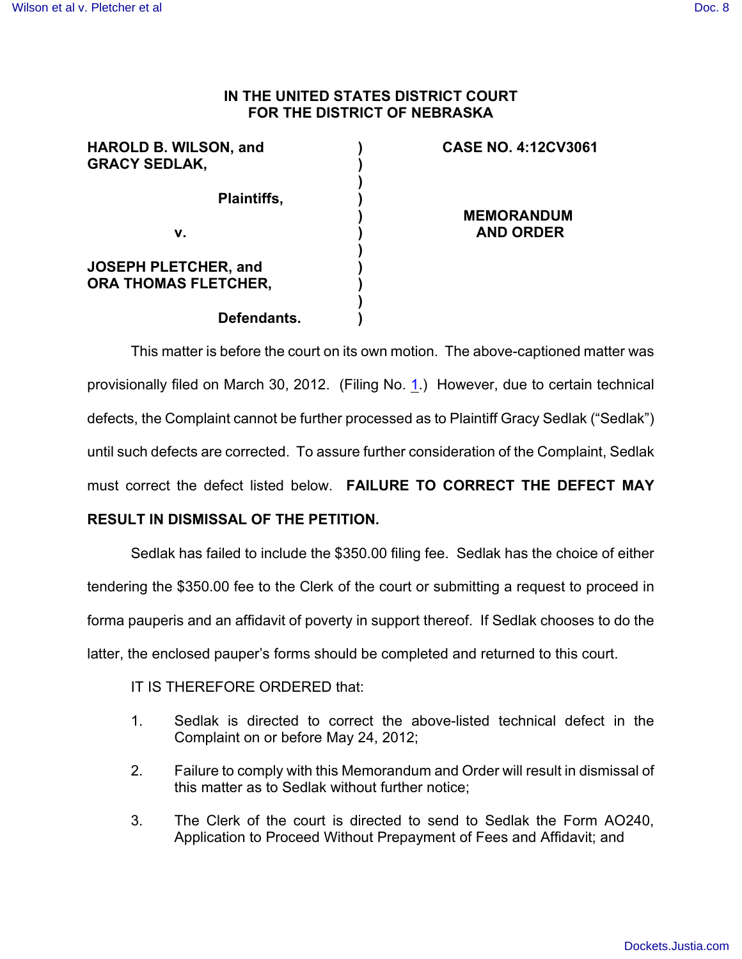## **IN THE UNITED STATES DISTRICT COURT FOR THE DISTRICT OF NEBRASKA**

| <b>HAROLD B. WILSON, and</b> | <b>CASE NO. 4:12CV3061</b> |
|------------------------------|----------------------------|
| <b>GRACY SEDLAK,</b>         |                            |
|                              |                            |
| <b>Plaintiffs,</b>           |                            |
|                              | <b>MEMORANDUM</b>          |
| v.                           | <b>AND ORDER</b>           |
|                              |                            |
| <b>JOSEPH PLETCHER, and</b>  |                            |
| <b>ORA THOMAS FLETCHER,</b>  |                            |
|                              |                            |
| Defendants.                  |                            |

This matter is before the court on its own motion. The above-captioned matter was provisionally filed on March 30, 2012. (Filing No. [1](http://ecf.ned.uscourts.gov/doc1/11302493934).) However, due to certain technical defects, the Complaint cannot be further processed as to Plaintiff Gracy Sedlak ("Sedlak") until such defects are corrected. To assure further consideration of the Complaint, Sedlak must correct the defect listed below. **FAILURE TO CORRECT THE DEFECT MAY**

## **RESULT IN DISMISSAL OF THE PETITION.**

Sedlak has failed to include the \$350.00 filing fee. Sedlak has the choice of either tendering the \$350.00 fee to the Clerk of the court or submitting a request to proceed in forma pauperis and an affidavit of poverty in support thereof. If Sedlak chooses to do the latter, the enclosed pauper's forms should be completed and returned to this court.

## IT IS THEREFORE ORDERED that:

- 1. Sedlak is directed to correct the above-listed technical defect in the Complaint on or before May 24, 2012;
- 2. Failure to comply with this Memorandum and Order will result in dismissal of this matter as to Sedlak without further notice;
- 3. The Clerk of the court is directed to send to Sedlak the Form AO240, Application to Proceed Without Prepayment of Fees and Affidavit; and